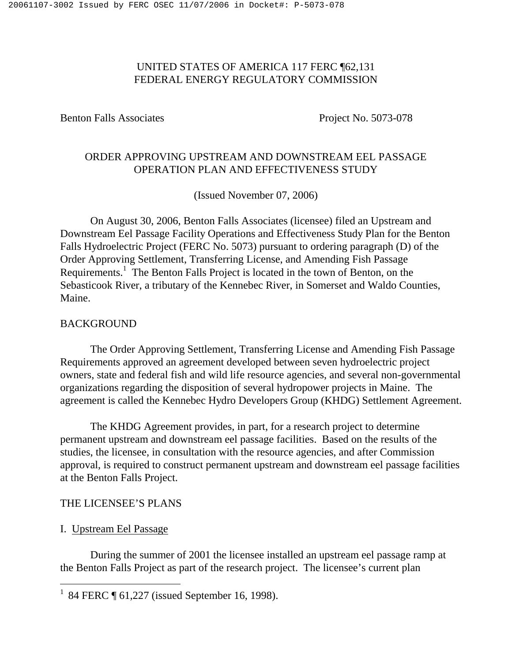# UNITED STATES OF AMERICA 117 FERC ¶62,131 FEDERAL ENERGY REGULATORY COMMISSION

Benton Falls Associates Project No. 5073-078

# ORDER APPROVING UPSTREAM AND DOWNSTREAM EEL PASSAGE OPERATION PLAN AND EFFECTIVENESS STUDY

(Issued November 07, 2006)

On August 30, 2006, Benton Falls Associates (licensee) filed an Upstream and Downstream Eel Passage Facility Operations and Effectiveness Study Plan for the Benton Falls Hydroelectric Project (FERC No. 5073) pursuant to ordering paragraph (D) of the Order Approving Settlement, Transferring License, and Amending Fish Passage Requirements.<sup>1</sup> The Benton Falls Project is located in the town of Benton, on the Sebasticook River, a tributary of the Kennebec River, in Somerset and Waldo Counties, Maine.

## BACKGROUND

The Order Approving Settlement, Transferring License and Amending Fish Passage Requirements approved an agreement developed between seven hydroelectric project owners, state and federal fish and wild life resource agencies, and several non-governmental organizations regarding the disposition of several hydropower projects in Maine. The agreement is called the Kennebec Hydro Developers Group (KHDG) Settlement Agreement.

The KHDG Agreement provides, in part, for a research project to determine permanent upstream and downstream eel passage facilities. Based on the results of the studies, the licensee, in consultation with the resource agencies, and after Commission approval, is required to construct permanent upstream and downstream eel passage facilities at the Benton Falls Project.

# THE LICENSEE'S PLANS

# I. Upstream Eel Passage

During the summer of 2001 the licensee installed an upstream eel passage ramp at the Benton Falls Project as part of the research project. The licensee's current plan

<sup>&</sup>lt;sup>1</sup> 84 FERC  $\P$  61,227 (issued September 16, 1998).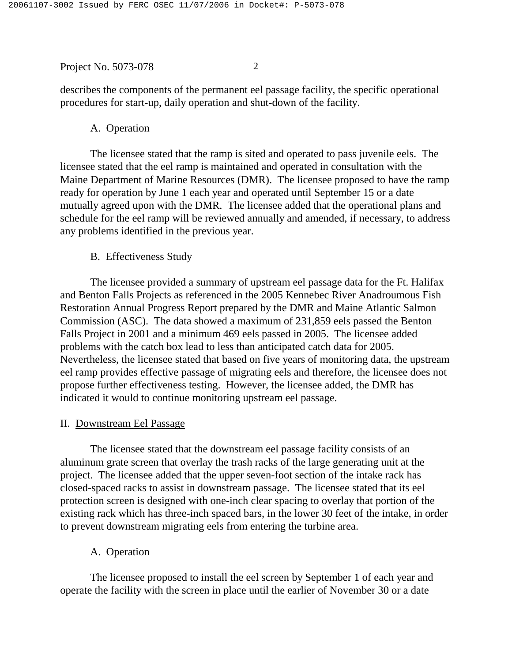describes the components of the permanent eel passage facility, the specific operational procedures for start-up, daily operation and shut-down of the facility.

A. Operation

The licensee stated that the ramp is sited and operated to pass juvenile eels. The licensee stated that the eel ramp is maintained and operated in consultation with the Maine Department of Marine Resources (DMR). The licensee proposed to have the ramp ready for operation by June 1 each year and operated until September 15 or a date mutually agreed upon with the DMR. The licensee added that the operational plans and schedule for the eel ramp will be reviewed annually and amended, if necessary, to address any problems identified in the previous year.

B. Effectiveness Study

The licensee provided a summary of upstream eel passage data for the Ft. Halifax and Benton Falls Projects as referenced in the 2005 Kennebec River Anadroumous Fish Restoration Annual Progress Report prepared by the DMR and Maine Atlantic Salmon Commission (ASC). The data showed a maximum of 231,859 eels passed the Benton Falls Project in 2001 and a minimum 469 eels passed in 2005. The licensee added problems with the catch box lead to less than anticipated catch data for 2005. Nevertheless, the licensee stated that based on five years of monitoring data, the upstream eel ramp provides effective passage of migrating eels and therefore, the licensee does not propose further effectiveness testing. However, the licensee added, the DMR has indicated it would to continue monitoring upstream eel passage.

## II. Downstream Eel Passage

The licensee stated that the downstream eel passage facility consists of an aluminum grate screen that overlay the trash racks of the large generating unit at the project. The licensee added that the upper seven-foot section of the intake rack has closed-spaced racks to assist in downstream passage. The licensee stated that its eel protection screen is designed with one-inch clear spacing to overlay that portion of the existing rack which has three-inch spaced bars, in the lower 30 feet of the intake, in order to prevent downstream migrating eels from entering the turbine area.

A. Operation

The licensee proposed to install the eel screen by September 1 of each year and operate the facility with the screen in place until the earlier of November 30 or a date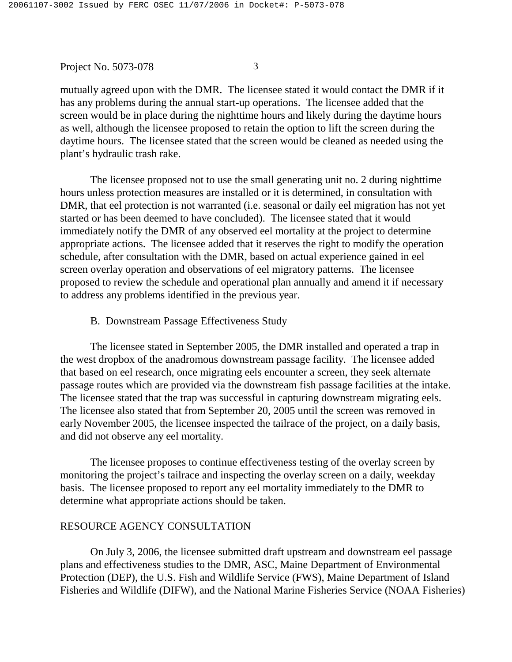mutually agreed upon with the DMR. The licensee stated it would contact the DMR if it has any problems during the annual start-up operations. The licensee added that the screen would be in place during the nighttime hours and likely during the daytime hours as well, although the licensee proposed to retain the option to lift the screen during the daytime hours. The licensee stated that the screen would be cleaned as needed using the plant's hydraulic trash rake.

The licensee proposed not to use the small generating unit no. 2 during nighttime hours unless protection measures are installed or it is determined, in consultation with DMR, that eel protection is not warranted (i.e. seasonal or daily eel migration has not yet started or has been deemed to have concluded). The licensee stated that it would immediately notify the DMR of any observed eel mortality at the project to determine appropriate actions. The licensee added that it reserves the right to modify the operation schedule, after consultation with the DMR, based on actual experience gained in eel screen overlay operation and observations of eel migratory patterns. The licensee proposed to review the schedule and operational plan annually and amend it if necessary to address any problems identified in the previous year.

B. Downstream Passage Effectiveness Study

The licensee stated in September 2005, the DMR installed and operated a trap in the west dropbox of the anadromous downstream passage facility. The licensee added that based on eel research, once migrating eels encounter a screen, they seek alternate passage routes which are provided via the downstream fish passage facilities at the intake. The licensee stated that the trap was successful in capturing downstream migrating eels. The licensee also stated that from September 20, 2005 until the screen was removed in early November 2005, the licensee inspected the tailrace of the project, on a daily basis, and did not observe any eel mortality.

The licensee proposes to continue effectiveness testing of the overlay screen by monitoring the project's tailrace and inspecting the overlay screen on a daily, weekday basis. The licensee proposed to report any eel mortality immediately to the DMR to determine what appropriate actions should be taken.

#### RESOURCE AGENCY CONSULTATION

On July 3, 2006, the licensee submitted draft upstream and downstream eel passage plans and effectiveness studies to the DMR, ASC, Maine Department of Environmental Protection (DEP), the U.S. Fish and Wildlife Service (FWS), Maine Department of Island Fisheries and Wildlife (DIFW), and the National Marine Fisheries Service (NOAA Fisheries)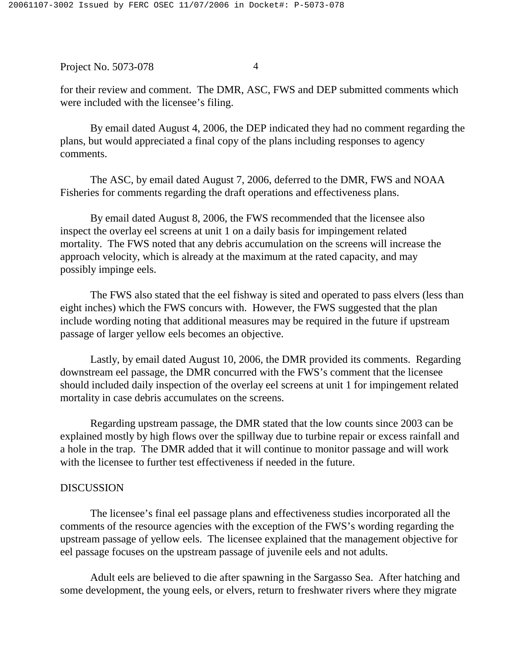for their review and comment. The DMR, ASC, FWS and DEP submitted comments which were included with the licensee's filing.

By email dated August 4, 2006, the DEP indicated they had no comment regarding the plans, but would appreciated a final copy of the plans including responses to agency comments.

The ASC, by email dated August 7, 2006, deferred to the DMR, FWS and NOAA Fisheries for comments regarding the draft operations and effectiveness plans.

By email dated August 8, 2006, the FWS recommended that the licensee also inspect the overlay eel screens at unit 1 on a daily basis for impingement related mortality. The FWS noted that any debris accumulation on the screens will increase the approach velocity, which is already at the maximum at the rated capacity, and may possibly impinge eels.

The FWS also stated that the eel fishway is sited and operated to pass elvers (less than eight inches) which the FWS concurs with. However, the FWS suggested that the plan include wording noting that additional measures may be required in the future if upstream passage of larger yellow eels becomes an objective.

Lastly, by email dated August 10, 2006, the DMR provided its comments. Regarding downstream eel passage, the DMR concurred with the FWS's comment that the licensee should included daily inspection of the overlay eel screens at unit 1 for impingement related mortality in case debris accumulates on the screens.

Regarding upstream passage, the DMR stated that the low counts since 2003 can be explained mostly by high flows over the spillway due to turbine repair or excess rainfall and a hole in the trap. The DMR added that it will continue to monitor passage and will work with the licensee to further test effectiveness if needed in the future.

## DISCUSSION

The licensee's final eel passage plans and effectiveness studies incorporated all the comments of the resource agencies with the exception of the FWS's wording regarding the upstream passage of yellow eels. The licensee explained that the management objective for eel passage focuses on the upstream passage of juvenile eels and not adults.

Adult eels are believed to die after spawning in the Sargasso Sea. After hatching and some development, the young eels, or elvers, return to freshwater rivers where they migrate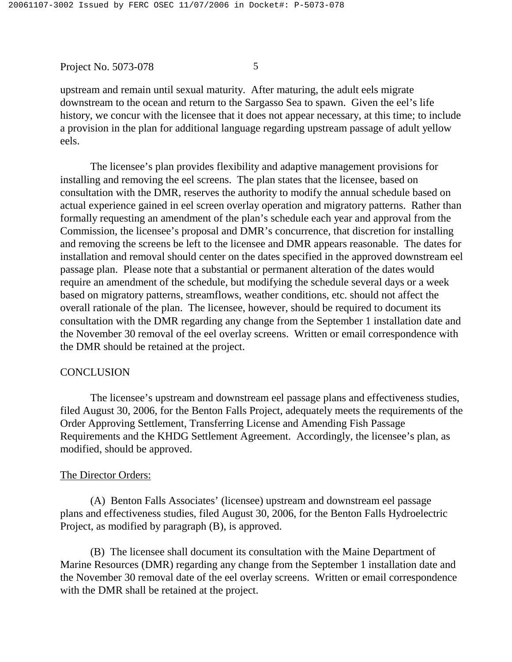upstream and remain until sexual maturity. After maturing, the adult eels migrate downstream to the ocean and return to the Sargasso Sea to spawn. Given the eel's life history, we concur with the licensee that it does not appear necessary, at this time; to include a provision in the plan for additional language regarding upstream passage of adult yellow eels.

The licensee's plan provides flexibility and adaptive management provisions for installing and removing the eel screens. The plan states that the licensee, based on consultation with the DMR, reserves the authority to modify the annual schedule based on actual experience gained in eel screen overlay operation and migratory patterns. Rather than formally requesting an amendment of the plan's schedule each year and approval from the Commission, the licensee's proposal and DMR's concurrence, that discretion for installing and removing the screens be left to the licensee and DMR appears reasonable. The dates for installation and removal should center on the dates specified in the approved downstream eel passage plan. Please note that a substantial or permanent alteration of the dates would require an amendment of the schedule, but modifying the schedule several days or a week based on migratory patterns, streamflows, weather conditions, etc. should not affect the overall rationale of the plan. The licensee, however, should be required to document its consultation with the DMR regarding any change from the September 1 installation date and the November 30 removal of the eel overlay screens. Written or email correspondence with the DMR should be retained at the project.

## **CONCLUSION**

The licensee's upstream and downstream eel passage plans and effectiveness studies, filed August 30, 2006, for the Benton Falls Project, adequately meets the requirements of the Order Approving Settlement, Transferring License and Amending Fish Passage Requirements and the KHDG Settlement Agreement. Accordingly, the licensee's plan, as modified, should be approved.

## The Director Orders:

(A) Benton Falls Associates' (licensee) upstream and downstream eel passage plans and effectiveness studies, filed August 30, 2006, for the Benton Falls Hydroelectric Project, as modified by paragraph (B), is approved.

(B) The licensee shall document its consultation with the Maine Department of Marine Resources (DMR) regarding any change from the September 1 installation date and the November 30 removal date of the eel overlay screens. Written or email correspondence with the DMR shall be retained at the project.